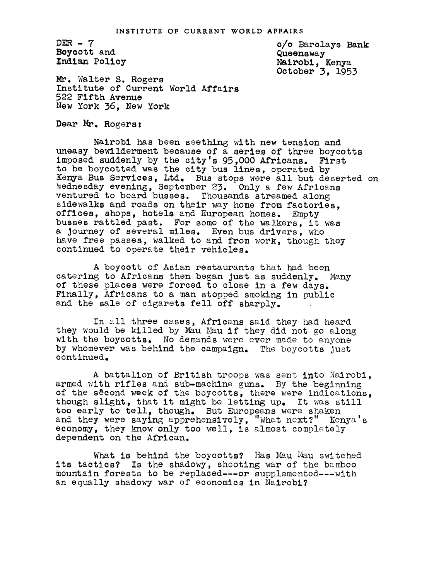DER  $-7$ Boycott and ndian Pelicy

c/o Barclays Bank Queensway Nairobi, Kenya October 3, 1953

Mr. Walter S. Rogers Institute of Current World Affairs 522 Fifth Avenue New York 36. New York

Dear Mr. Rogers:

Nairobi has been seething with new tension and uneasy bewilderment because of a series of three boycotts imposed suddenly by the city's 95,000 Africans. First to be boycotted was the city bus lines, operated by Kenya Bus Services, Ltd. Bus stops were all but deserted on Wednesday evening, September 23. Only a few Africans ventured to board busses. Thousands streamed along sidewalks and roads on their way home from factories, offices, shops, hotels and European homes. Empty offices, shops, hotels and European homes. busses rattled past. For some of the walkers, it was a Journey of several miles. Even bus drivers, who have free passes, walked to and from work, though they continued to operate their vehicles.

A boycett of Asian restaurants that had been catering to Africans then began just as suddenly. Many of these places were forced to close in a few days. Finally, Africans to a man stopped smoking in public and the sale of clgarets fell off sharply.

In all three cases, Africans said they had heard they would be killed by Mau Mau if they did not go along with the boycotts. No demands were ever made to anyone by whomever was behind the campaign. The boycotts Just continued.

A battalion of British troops was sent into Nairobi, armed with rifles and sub-machine guns. By the beginning of the second week of the boycotts, there were indications, though slight, that it might be letting up. It was still too early to tell, though. But Europeans were shaken and they were saying apprehensively, "What next?" Kenya's economy, they know only too well, is almost completely dependent on the African.

What is behind the boycotts? Has Mau Mau switched its tactics? Is the shadowy, shooting war of the bamboo mountain forests to be replaced---or supplemented---with an equally shadowy war of economics in Nairobi?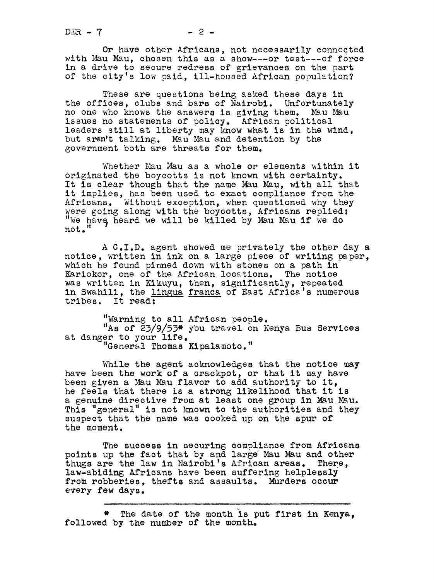Or have other Africans, not necessarily connected with Mau Mau, chosen this as a show---or test---of force in a drive to secure redress of grievances on the part of the city's low paid, ill-housed African population?

These are questions being asked these days in the offices, clubs and bars of Nairobi. Unfortunately no one who knows the answers is giving them. Mau Mau issues no statements of policy. African political leaders still at liberty may know what is in the wind, but aren't talking. Mau Mau and detention by the government both are threats for them.

Whether Mau Mau as a whole or elements within it Originated the boycotts is not known with certainty. It is clear though that the name Mau Mau, with all that it implies, has been used to exact compliance from the Africans. Without exception, when questioned why they were going along with the boycotts, Africans replied: "We have heard we will be killed by Mau Mau if we do  $not.$   $\overline{H}$ 

A C.I.D. agent showed me privately the other day a notice, written in ink on a large piece of writing paper, which he found pinned down with stones on a path in Kariokor, one of the African locations. The notice was written in Kikuyu, then, significantly, repeated in Swahili, the lingua franca of East Africa's numerous tribes. It read:

"Warning to all African people. "As of 23/9/53\* you travel on Kenya Bus Services at danger to your life. General Thomas Kipalamoto."

While the agent acknowledges that the notice may have been the work of a crackpot, or that it may have been given a Mau Mau flavor to add authority to it, he feels that there is a strong likelihood that it is a genuine directive from at least one group in Mau. Mau. This "general" is not known to the authorities and they suspect that the name was cooked up on the spur of the moment.

The success in securing compliance from Africans points up the fact that by and large Mau Mau and other thugs are the law in Nairobi's African areas. There, law-abiding Africans have been suffering helplessly from robberies, thefts and assaults. Murders occur every few days.

The date of the month is put first in Kenya. followed by the number of the month.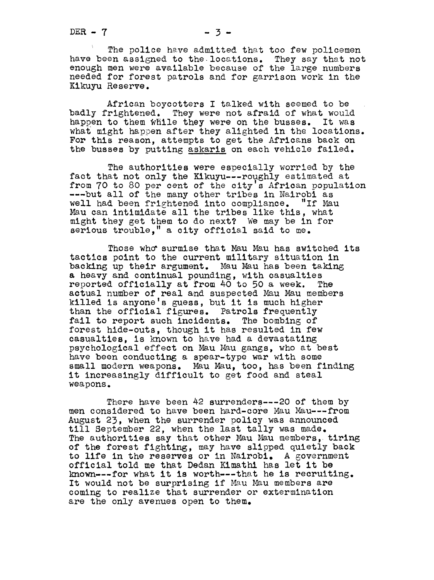The police have admitted that too few policemen have been assigned to the locations. They say that not enough men were available because of the large numbers needed for forest patrols and for garrison work in the Kikuyu Reserve.

African boycotters I talked with seemed to be badly frightened. They were not afraid of what would happen to them while they were on the busses. It was what might happen after they alighted in the locations. For this reason, attempts to get the Africans back on the busses by putting skaris on each vehicle failed.

The authorities were especially worried by the fact that not only the Kikuyu---roughly estimated at from 70 to 80 per cent of the city's African population ---but all of the many other tribes in Nairobi as well had been frightened into compliance. "If Mau Mau can intimidate all the tribes like this, what might they get them to do next? We may be in for serious trouble," a city official said to me.

Those who surmise that Mau Mau has switched its tactics point to the current military situation in backing up their argument. Mau Mau has been taking a heavy and continual pounding, with casualties reported officially at from 40 to 50 a week. The actual number of real and suspected Mau Mau members killed is anyone's guess, but it is much higher than the official figures. Patrols frequently fall to report such incidents. The bombing of forest hide-outs, though it has resulted in few casualties, is known to have had a devastating psychological effect on Mau Mau gangs, who at best have been conducting a spear-type war with some small modern weapons. Mau Mau, too, has been finding it increasingly difficult to get food and steal weapons.

There have been  $42$  surrenders---20 of them by men considered to have been hard-core Mau Mau --- from August 23, when the surrender policy was announced till September 22, when the last tally was made. The authorities say that other Mau Mau members, tiring of the forest fighting, may have slipped quietly back to life in the reserves or in Nairobi. A government official told me that Dedan Kimathl has let it be known---for what it is worth---that he is recruiting. It would not be surprising if Mau Mau members are coming to realize that surrender or extermination are the only avenues open to them.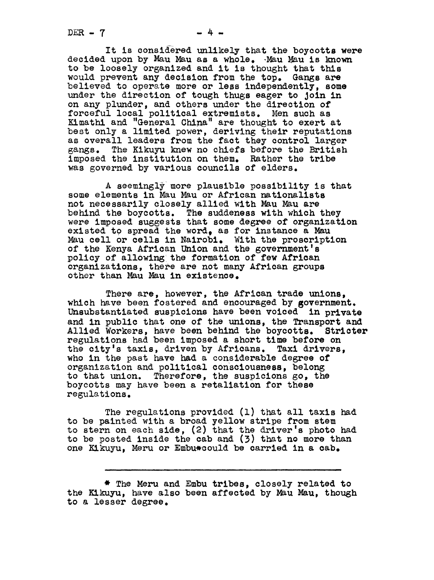$DER - 7$ 

It is considered unlikely that the boycotts were decided upon by Mau Mau as a whole. Mau Nau is known to be loosely organized and it is thought that this would prevent any decision from the top. Gangs are believed to operate more or less independently, some under the direction of tough thugs eager to Join in on any plunder, and others under the direction of forceful local political extremists. Men such as rorceiul local political extremists. Men such as<br>Kimathi and "General China" are thought to exert at best only a limited power, deriving their reputations as overall leaders from the fact they control larger gangs. The Kikuyu knew no chiefs before the British imposed the institution on them. Rather the tribe was governed by various councils of elders.

A seemingly more plausible possibility is that some elements in Mau Mau or African nationalists not necessarily closely allied With Mau Mau are behind the boycotts. The suddeness with which they were imposed suggests that some degree of organization existed to spread the word, as for instance a Mau Mau cell or cells in Nairobi. With the proscription of the Kenya African Union and the government's policy of allowing the formation of few African organizations, there are not many African groups other than Mau Mau in existence.

There are, however, the African trade unions. which have been fostered and encouraged by government. Unsubstantiated suspicions have been voiced in private and in public that one of the unions, the Transport and Allied Workers, haVe been behind the boycotts. Stricter regulatlons had been imposed a short time before on the city's taxis, driven by Africans. Taxi drivers, who in the past have had a considerable degree of organization and political c0nsciousness, belong to that union. Therefore, the suspicions go, the boycotts may have been a retaliation for these regulati one.

The regulations provided (I) that all taxis had to be painted with a broad yellow stripe from stem to stern on each side, (2) that the driver's photo had to be posted inside the cab and  $(3)$  that no more than one Kikuyu, Meru or Embu\*could be carried in a cab.

\* The Meru and Embu tribes, closely related to the Kikuyu, have also been affected by Mau Mau, though to a lesser degree.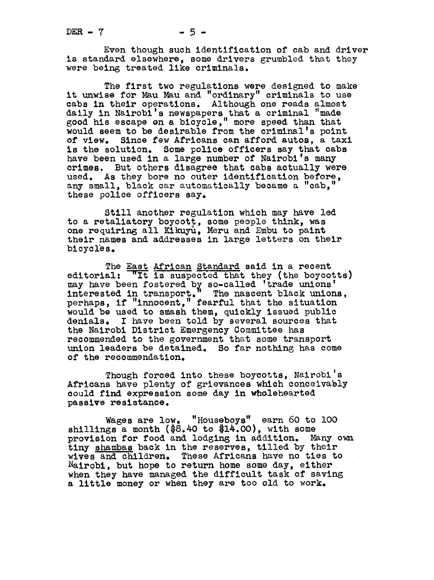Even though such identification of cab and driver is standard elsewhere, some drivers grumbled that they were being treated like criminals.

The first two regulations were designed to make it unwise for Mau Mau and "ordinary" criminals to use cabs in their operations. Although one reads almost daily in Nairobi's newspapers that a criminal "made seed his escape n <sup>a</sup> bicycle, more speed than that would seem to be desirable from the criminal's point of view. Since few Africans can afford autos, a tax Since few Africans can afford autos, a taxi is the solution. Some police officers say that cabs have been used in a large number of Nairobi's many crimes. But others disagree that cabs actually were used. As they bore no outer identification before, any small, black car automatically became a "cab," these police officers say.

Still another regulation which may have led to a retaliatory boycott, some people think, was one requiring all Kikuyu, Meru and Embu to paint their names and addresses in large letters on their bicycles.

The East African Standard said in a recent editorial: "It is suspected that they (the boycotts) may have been fostered by so-called 'trade unions' interested in transport." The nascent black unions, perhaps, if "Innocent," fearful that the situation would be used to smash them, quickly issued public denials. I have been told by several sources that the Nairobi District Emergency Committee has recommended to the government that some transport union leaders be detained. So far nothing has come of the recommendation.

Though forced into these boycotts, Nairobi's Africans have plenty of grievances which conceivably could find expression some day in wholehearted passive resistance.

Wages are low. "Housboys" earn 60 to lO0 shillings a month (\$8.40 to \$14.00), with some provision for food and lodging in addition. Many own tiny shambas back in the reserves, tilled by their wives and children. These Africans have no ties to Nairobi, but hope to return home some day, either when they have managed the difficult task of saving a little money or when they are too old to work.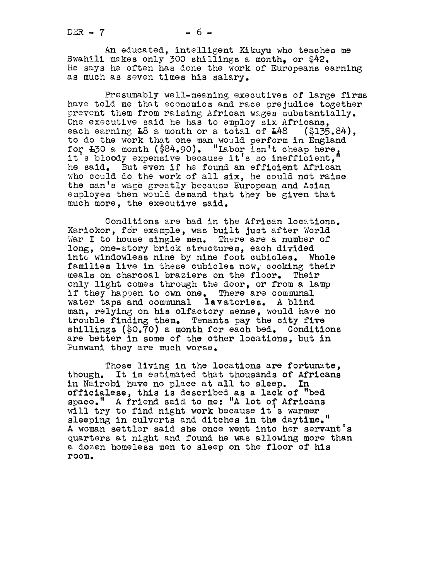An educated, intelligent Kikuyu who teaches me Swahili makes only 300 shillings a month. or \$42. He says he often has done the work of Europeans earning as much as seven times his salary.

Presumably well-meaning executives of large firms have told me that economics and race prejudice together prevent them from raising African wages substantially. One executive said he has to employ six Africans, each earning  $L8$  a month or a total of  $L48$  (\$135.84), to do the work that one man would perform in England for L30 a month (\$84.90). "Labor isn't cheap here, it <sup>s</sup> bloody expensive because it's so inefficient, he said. But even if he found an efficient African who could do the work of all six, he could not raise the man's wage greatly because European and Asian employes then would demand that they be given that much more, the executive said.

Conditions are bad in the African locations. Kariokor, for example, was built just after World War I to house single men. There are a number of long, one-story brick structures, each divided into windowless nine by nine foot cubicles. Whole families live in these cubicles now, cooking their<br>meals on charcoal braziers on the floor. Their meals on charcoal braziers on the floor. only light comes through the door, or from a lamp if they happen to own one. There are communal water taps and communal lavatories. A blind man, relying on his olfactory sense, would have no trouble finding them. Tenants pay the city five shillings  $(\text{\$0.70})$  a month for each bed. Conditions are better in some of the other locations, but in Pumwani they are much worse.

Those living in the locations are fortunate, though. It is estimated that thousands of Africans in Nairobi have no place at all to sleep. In officialese, this is described as a lack of "bed space." A friend said to me: "A lot of Africans will try to find night work because it's warmer sleeping in culverts and ditches in the daytime." A woman settler said she once went into her servant's quarters at night and found he was allowing more than a dozen homeless men to sleep on the floor of his room.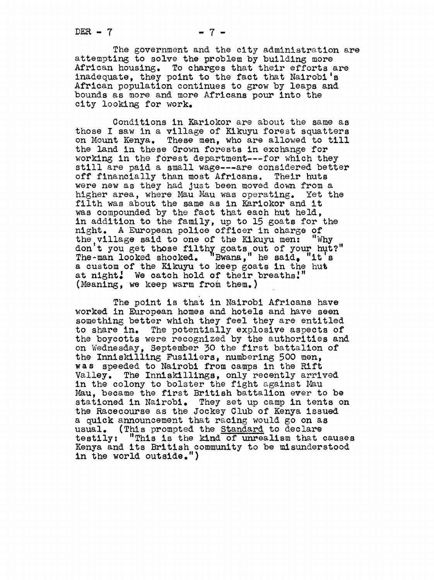The government and the city administration are attempting to solve the problem by building more African housing. To charges that their efforts are inadequate, they point to the fact that Nairobi's African population continues to grow by leaps and bounds as more and more Africans pour into the city looking for work.

Conditions in Kariokor are about the same as those I saw in a village of Kikuyu forest squatters on Mount Kenya. These men, who are allowed to till the land in these Crown forests in exchange for working in the forest department---for which they still are paid a small wage---are considered better off financially than most Africans. Their huts off financially shall most afficially. Their huss<br>were new as they had just been moved down from a<br>higher area, where Mau Mau was operating. Yet the<br>filth was about the same as in Kaniekon and it filth was about the same as in Kariokor and it was compounded by the fact that each hut held, in addition to the family, up to 15 goats for the night. A European police officer in charge of the village said to one of the Kikuyu men: "Why don't you get those filthy goats out of your hut?" The $\text{-man}$  looked shocked. "Bwana," he said, "it's a custom of the Kikuyu to keep goats in the hut at night! We catch hold of their breaths!" (Meaning, we keep warm from them.)

The point is that in Nairobi Africans have worked in European homes and hotels and have seen somethlng.better which they feel they are entitled to share in. The potentially explosive aspects of the boycotts were recognized by the authorities and on Wednesday, September 30 the first battalion of the Innlskilling Fusiliers, numbering 500 men, was speeded to Nairobi from camps in the Rift walley. The Inniskillings, only recently arrived<br>in the colony to bolster the fight against Mau<br>Mau became the finat Pritish battalian even to b Mau, became the first British battalion ever to be stationed in Nairobi. They set up camp in tents on the Racecourse as the Jockey Club of Kenya issued a quick announcement that racing would go on as usual. (This prompted the Standard to declare testily: "This is the kind of unrealism that causes Kenya and its British community to be misunderstood in the world outside.")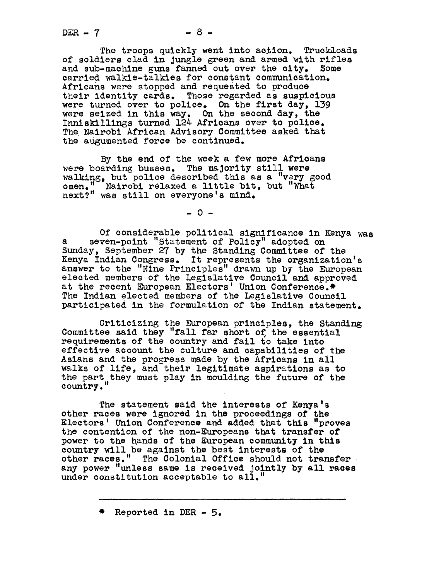$DEF - 7$ 

The troops quickly went into action. Truckloads of soldiers clad in jungle green and armed with rifles and sub-machine guns fanned out over the city. Some carried walkie-talkies for constant communication. Africans were stopped and requested to produce their identity cards. Those regarded as suspicious were turned over to police. On the first day, i39 were seized in this way. On the second day, the Innlskillings turned 124 Africans over to police. The Nalrobi African Advisory Committee asked that the augumented force be continued.

By the end of the week a few more Africans were boarding busses. The majority still were walking, but police described this as a "very good omen." Nairobi relaxed a little bit, but "What next?" was still on everyone's mind.

 $-0-$ 

Of considerable political significance in Kenya was a seven-point "Statement of Policy" adopted on Sunday, September 27 by the Standing Committee of the Kenya Indian Congress. It represents the organization's answer, to the "Nine Principles" drawn up by the European elected members of the Legislative Council and approved at the recent European Electors' Union Conference.\* The Indian elected members of the Legislative Council participated in the formulation of the Indian statement.

Criticizing the European principles, the Standing Committee said they "fall far short of the essential requirements of the country and fail to take into effective account the culture and capabilities of the Asians and the progress made by the Africans in all walks of life, and their legitimate aspirations as to the part they must play in moulding the future of the country.

The statement said the interests of Kenya's other races were ignored in the proceedings of the Electors' Union Conference and added that this "proves the contention of the non-Europeans that transfer of power to the hands of the European community in this country will be against the best interests of the other races." The Colonial Office should not transfer any power "unless same is received Jointly by all races under constitution acceptable to all."

 $*$  Reported in DER - 5.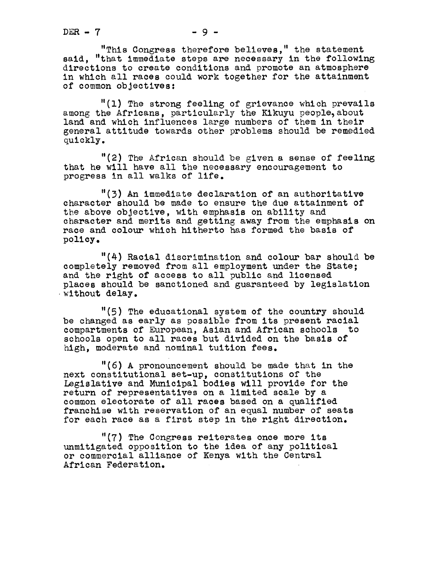"This Congress therefore believes," the statement said, "that immediate steps are necessary in the following directions to create conditions and promote an atmosphere in which all races could work together for the attainment of common objectives:

"(I) The strong feeling of grievance which prevails among the Africans, particularly the Kikuyu people, about land and which influences large numbers of them in their general attitude towards other problems should be remedied quickly.

"(2) The African should be given a sense of feeling that he will have all the necessary encouragement to progress in all walks of life.

"(3) An immediate declaration of an authoritative character should be made to ensure the due attainment of the above objective, with emphasis on ability and character and merits and getting away from the emphasis on race and colour which hitherto has formed the basis of policy.

"(4) Racial discrimination and colour bar should be completely removed from all employment under the State; and the right of access to all public and licensed places should be sanctioned and guaranteed by legislation without delay.

"(5) The educational system of the country should be changed as early as possible from its present racial compartments of European, Asian and African schools to schools open to all races but divided on the basis of high, moderate and nominal tuition fees.

"(6) A pronouncement should be made that in the next constitutional set-up, constitutions of the Legislative and Municipal bodies will provide for the return of representatives on a limited scale by a common electorate of all races based on a qualified franchise with reservation of an equal number of seats for each race as a first step in the right direction.

"(7) The Congress reiterates once more its unmitigated opposition to the idea of any political or commercial alliance of Kenya with the Central African Federation.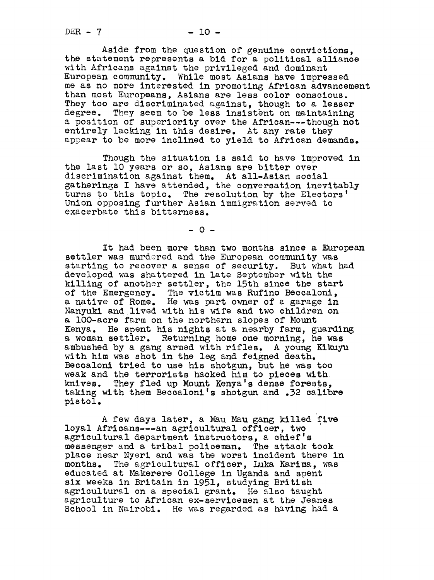$DER - 7$  - 10 -

Aside from the question of genuine convictions, the statement represents a bid for a political alliance with Africans against the privileged and dominant European community. While most Asians have impressed me as no more interested in promoting African advancement than most Europeans, Asians are less color conscious. They too are discriminated against, though to a lesser degree. They seem to be less insistent on maintaining a position of superiority over the African---though not entirely lacking in this desire. At any rate they appear to be more inclined to yield to African demands.

Though the situation is said to have improved in the last lO years or so, Asians are bitter over discrimination against them. At all-Asian social gatherings I have attended, the conversation inevitably turns to this topic. The resolution by the Electors' Union opposing further Asian immigration served to exacerbate this bitterness.

 $-0 -$ 

It had been more than two months since a European settler was murdered and the European community was starting to recover a sense of security. But what had developed was shattered in late September with the killing of another settler, the 15th since the start of the Emergency. The victim was Rufino Beccaloni,<br>a native of Rome. He was part owner of a garage in He was part owner of a garage in Nanyuki and lived with his wife and two children on a lO0-acre farm on the northern slopes of Mount Kenya. He spent his nights at a nearby farm, guarding a woman settler. Returning home one morning, he was ambushed by a gang armed with rifles. A young Kikuyu with him was shot in the leg and feigned death. Beccaloni tried to use his shotgun, but he was too weak and the terrorists hacked him to pieces with knives. They fled up Mount Kenya's dense forests. They fled up Mount Kenya's dense forests, taking with them Beccaloni's shotgun and .32 calibre pistol.

A few days later, a Mau Mau gang killed five loyal Afrlcans---an agricultural officer, two agricultural department instructors, a chief's messenger and tribal policeman. The attack took place near Nyeri and was the worst incident there in months. The agricultural officer, Luka Karima, was educated at Makerere College in Uganda and spent six weeks in Britain in 1951, studying British agricultural on a special grant. He also taught agriculture to African ex-servicemen at the Jeanes School in Nairobi. He was regarded as having had a